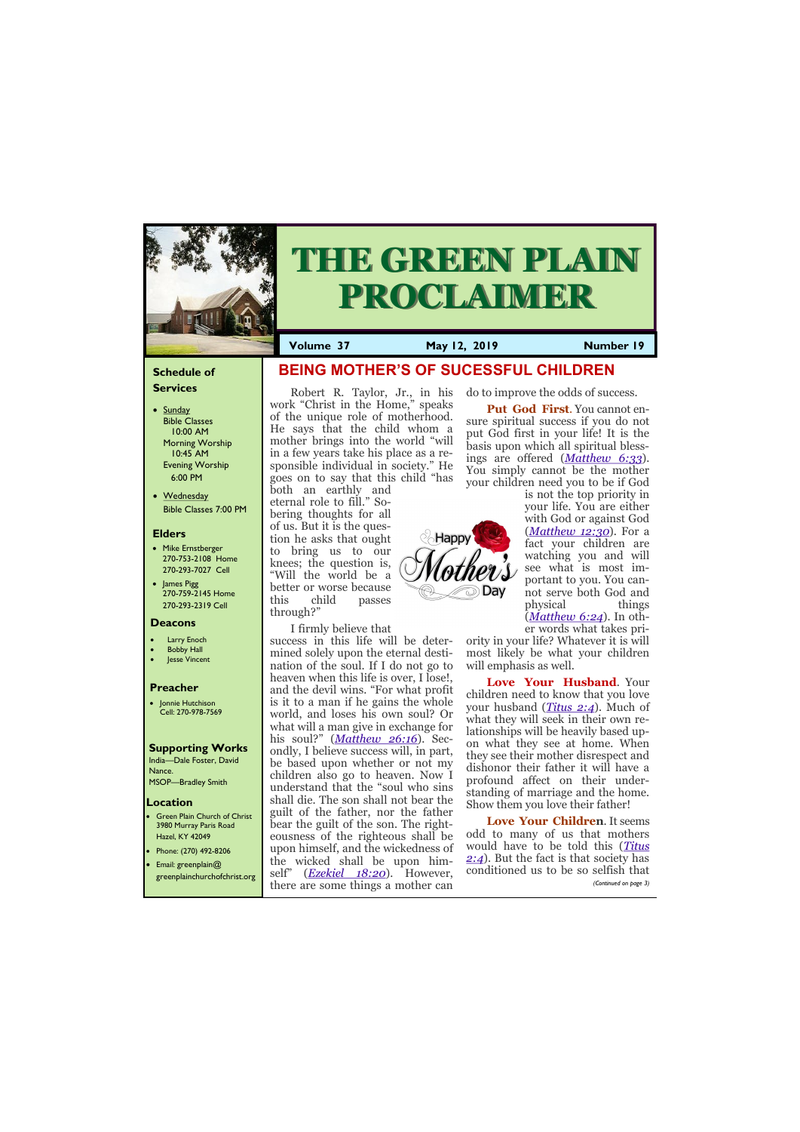## **Schedule of Services**

- Sunday Bible Classes 10:00 AM Morning Worship 10:45 AM Evening Worship 6:00 PM
- Wednesday Bible Classes 7:00 PM

#### **Elders**

**Green Plain Church of Christ** 3980 Murray Paris Road Hazel, KY 42049 • Phone: (270) 492-8206

- Mike Ernstberger 270-753-2108 Home 270-293-7027 Cell
- James Pigg 270-759-2145 Home 270-293-2319 Cell



# **THE GREEN PLAIN PROCLAIMER**

- **Larry Enoch**
- **Bobby Hall**
- Jesse Vincent

#### **Location**

**Volume 37 May 12, 2019 Number 19**

#### **Deacons**

#### **Preacher**

• Jonnie Hutchison Cell: 270-978-7569

## **Supporting Works**

India—Dale Foster, David Nance. MSOP—Bradley Smith

 **BEING MOTHER'S OF SUCESSFUL CHILDREN**

both an earthly and eternal role to fill." Sobering thoughts for all of us. But it is the question he asks that ought to bring us to our knees; the question is, "Will the world be a better or worse because this child passes through?"

I firmly believe that

Robert R. Taylor, Jr., in his work "Christ in the Home," speaks of the unique role of motherhood. He says that the child whom a mother brings into the world "will in a few years take his place as a responsible individual in society." He goes on to say that this child "has your children need you to be if God

success in this life will be determined solely upon the eternal destination of the soul. If I do not go to heaven when this life is over, I lose!, and the devil wins. "For what profit is it to a man if he gains the whole world, and loses his own soul? Or what will a man give in exchange for his soul?" (*[Matthew 26:16](http://bibles.org/eng-NASB/Matt/26/16)*). Secondly, I believe success will, in part, be based upon whether or not my children also go to heaven. Now I understand that the "soul who sins shall die. The son shall not bear the guilt of the father, nor the father bear the guilt of the son. The righteousness of the righteous shall be upon himself, and the wickedness of

| the wicked shall be upon him-<br>• Email: greenplain $@$<br>self" ( <i>Ezekiel 18:20</i> ). However,<br>greenplainchurchofchrist.org<br>there are some things a mother can |  | 2:4). But the fact is that society has<br>conditioned us to be so selfish that<br>(Continued on page 3) |
|----------------------------------------------------------------------------------------------------------------------------------------------------------------------------|--|---------------------------------------------------------------------------------------------------------|
|----------------------------------------------------------------------------------------------------------------------------------------------------------------------------|--|---------------------------------------------------------------------------------------------------------|

do to improve the odds of success.

**Put God First**. You cannot ensure spiritual success if you do not put God first in your life! It is the basis upon which all spiritual blessings are offered (*[Matthew 6:33](http://bibles.org/eng-NASB/Matt/6/33)*). You simply cannot be the mother

Happ<sup>®</sup> Day

is not the top priority in your life. You are either with God or against God (*[Matthew 12:30](http://bibles.org/eng-NASB/Matt/12/30)*). For a fact your children are watching you and will see what is most important to you. You cannot serve both God and physical things (*[Matthew 6:24](http://bibles.org/eng-NASB/Matt/6/24)*). In other words what takes pri-

ority in your life? Whatever it is will most likely be what your children will emphasis as well.

**Love Your Husband**. Your children need to know that you love your husband (*[Titus 2:4](http://bibles.org/eng-NASB/Titus/2/4)*). Much of what they will seek in their own relationships will be heavily based upon what they see at home. When they see their mother disrespect and dishonor their father it will have a profound affect on their understanding of marriage and the home. Show them you love their father!

**Love Your Children**. It seems odd to many of us that mothers would have to be told this (*[Titus](http://bibles.org/eng-NASB/Titus/2/4)* 

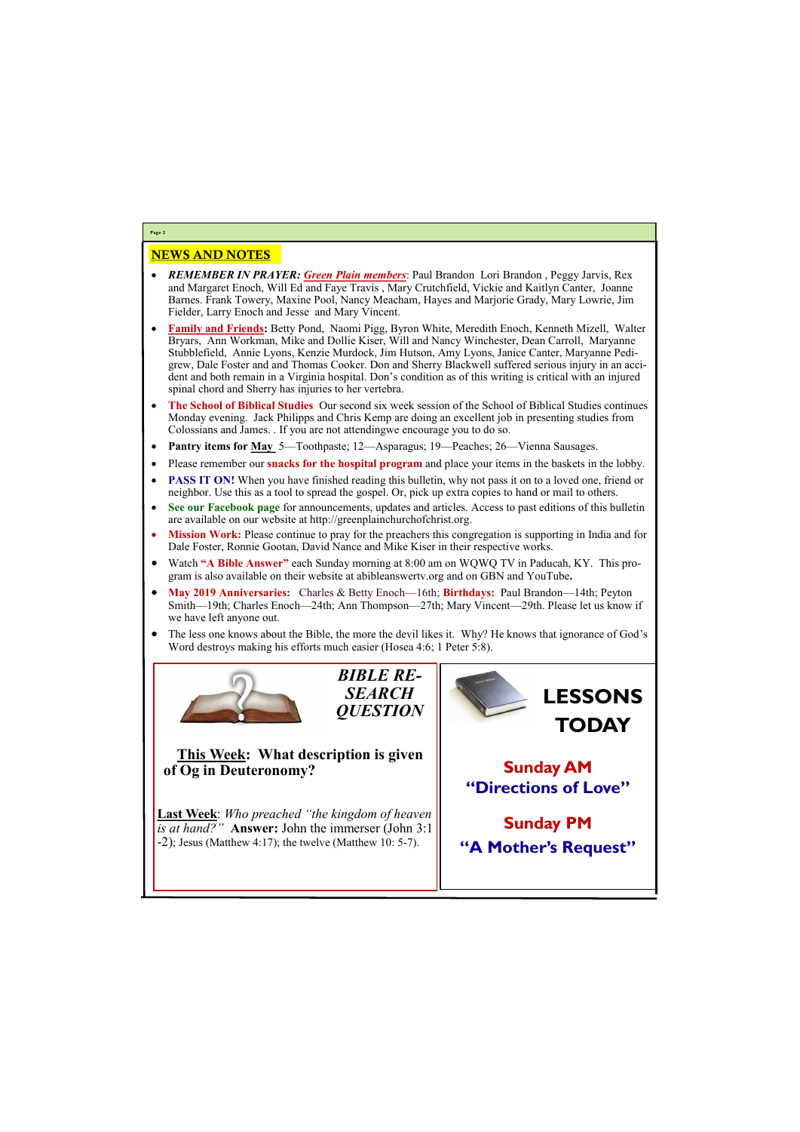## NEWS AND NOTES

- *REMEMBER IN PRAYER: Green Plain members*: Paul Brandon Lori Brandon , Peggy Jarvis, Rex and Margaret Enoch, Will Ed and Faye Travis , Mary Crutchfield, Vickie and Kaitlyn Canter, Joanne Barnes. Frank Towery, Maxine Pool, Nancy Meacham, Hayes and Marjorie Grady, Mary Lowrie, Jim Fielder, Larry Enoch and Jesse and Mary Vincent.
- **Family and Friends:** Betty Pond, Naomi Pigg, Byron White, Meredith Enoch, Kenneth Mizell, Walter Bryars, Ann Workman, Mike and Dollie Kiser, Will and Nancy Winchester, Dean Carroll, Maryanne Stubblefield, Annie Lyons, Kenzie Murdock, Jim Hutson, Amy Lyons, Janice Canter, Maryanne Pedigrew, Dale Foster and and Thomas Cooker. Don and Sherry Blackwell suffered serious injury in an accident and both remain in a Virginia hospital. Don's condition as of this writing is critical with an injured spinal chord and Sherry has injuries to her vertebra.
- **The School of Biblical Studies** Our second six week session of the School of Biblical Studies continues Monday evening. Jack Philipps and Chris Kemp are doing an excellent job in presenting studies from Colossians and James. . If you are not attendingwe encourage you to do so.
- **Pantry items for May** 5—Toothpaste; 12—Asparagus; 19—Peaches; 26—Vienna Sausages.
- Please remember our **snacks for the hospital program** and place your items in the baskets in the lobby.
- **PASS IT ON!** When you have finished reading this bulletin, why not pass it on to a loved one, friend or neighbor. Use this as a tool to spread the gospel. Or, pick up extra copies to hand or mail to others.
- **See our Facebook page** for announcements, updates and articles. Access to past editions of this bulletin are available on our website at http://greenplainchurchofchrist.org.
- **Mission Work:** Please continue to pray for the preachers this congregation is supporting in India and for Dale Foster, Ronnie Gootan, David Nance and Mike Kiser in their respective works.
- Watch **"A Bible Answer"** each Sunday morning at 8:00 am on WQWQ TV in Paducah, KY. This program is also available on their website at abibleanswertv.org and on GBN and YouTube**.**
- **May 2019 Anniversaries:** Charles & Betty Enoch—16th; **Birthdays:** Paul Brandon—14th; Peyton Smith—19th; Charles Enoch—24th; Ann Thompson—27th; Mary Vincent—29th. Please let us know if we have left anyone out.
- The less one knows about the Bible, the more the devil likes it. Why? He knows that ignorance of God's Word destroys making his efforts much easier (Hosea 4:6; 1 Peter 5:8).



**Last Week**: *Who preached "the kingdom of heaven is at hand?"* **Answer:** John the immerser (John 3:1  $-2$ ); Jesus (Matthew 4:17); the twelve (Matthew 10: 5-7).

**Page 2**



**This Week: What description is given of Og in Deuteronomy?** 

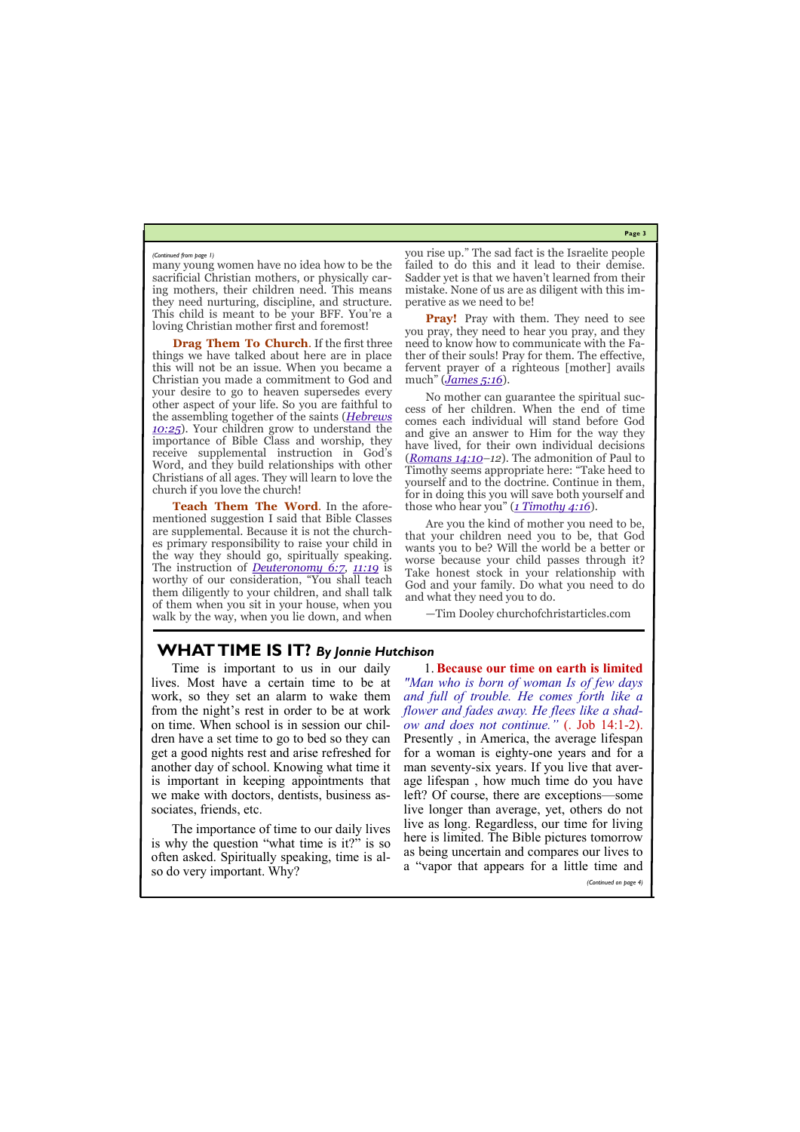**Page 3**

many young women have no idea how to be the sacrificial Christian mothers, or physically caring mothers, their children need. This means they need nurturing, discipline, and structure. This child is meant to be your BFF. You're a loving Christian mother first and foremost!

**Drag Them To Church**. If the first three things we have talked about here are in place this will not be an issue. When you became a Christian you made a commitment to God and your desire to go to heaven supersedes every other aspect of your life. So you are faithful to the assembling together of the saints (*[Hebrews](http://bibles.org/eng-NASB/Heb/10/25)  [10:25](http://bibles.org/eng-NASB/Heb/10/25)*). Your children grow to understand the importance of Bible Class and worship, they receive supplemental instruction in God's Word, and they build relationships with other Christians of all ages. They will learn to love the church if you love the church!

**Pray!** Pray with them. They need to see you pray, they need to hear you pray, and they need to know how to communicate with the Father of their souls! Pray for them. The effective, fervent prayer of a righteous [mother] avails much" (*[James 5:16](http://bibles.org/eng-NASB/Jas/5/16)*).

**Teach Them The Word**. In the aforementioned suggestion I said that Bible Classes are supplemental. Because it is not the churches primary responsibility to raise your child in the way they should go, spiritually speaking. The instruction of *[Deuteronomy 6:7,](http://bibles.org/eng-NASB/Deut/6/7) [11:19](http://bibles.org/eng-NASB/Deut/11/19)* is worthy of our consideration, "You shall teach them diligently to your children, and shall talk of them when you sit in your house, when you walk by the way, when you lie down, and when

you rise up." The sad fact is the Israelite people failed to do this and it lead to their demise. Sadder yet is that we haven't learned from their mistake. None of us are as diligent with this imperative as we need to be!

No mother can guarantee the spiritual success of her children. When the end of time comes each individual will stand before God and give an answer to Him for the way they have lived, for their own individual decisions (*[Romans 14:10–](http://bibles.org/eng-NASB/Rom/14/10)12*). The admonition of Paul to Timothy seems appropriate here: "Take heed to yourself and to the doctrine. Continue in them, for in doing this you will save both yourself and those who hear you" (*[1 Timothy 4:16](http://bibles.org/eng-NASB/1Tim/4/16)*).

Are you the kind of mother you need to be, that your children need you to be, that God wants you to be? Will the world be a better or worse because your child passes through it? Take honest stock in your relationship with God and your family. Do what you need to do and what they need you to do.

—Tim Dooley churchofchristarticles.com

#### *(Continued from page 1)*

# **WHAT TIME IS IT?** *By Jonnie Hutchison*

Time is important to us in our daily lives. Most have a certain time to be at work, so they set an alarm to wake them from the night's rest in order to be at work on time. When school is in session our children have a set time to go to bed so they can get a good nights rest and arise refreshed for another day of school. Knowing what time it is important in keeping appointments that we make with doctors, dentists, business associates, friends, etc.

The importance of time to our daily lives is why the question "what time is it?" is so often asked. Spiritually speaking, time is also do very important. Why? here is limited. The Bible pictures tomorrow as being uncertain and compares our lives to a "vapor that appears for a little time and *(Continued on page 4)*

1. **Because our time on earth is limited**  *"Man who is born of woman Is of few days and full of trouble. He comes forth like a flower and fades away. He flees like a shadow and does not continue."* (. Job 14:1-2). Presently , in America, the average lifespan for a woman is eighty-one years and for a man seventy-six years. If you live that average lifespan , how much time do you have left? Of course, there are exceptions—some live longer than average, yet, others do not live as long. Regardless, our time for living